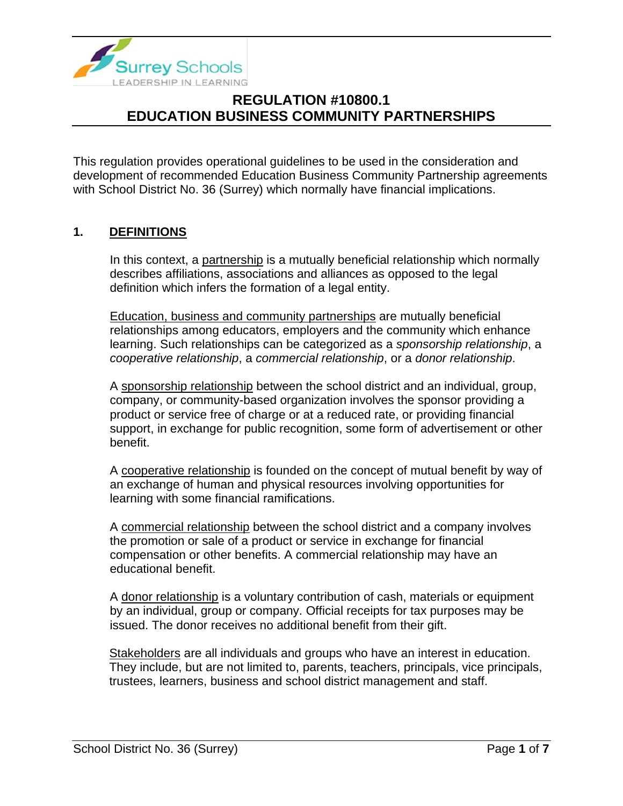

This regulation provides operational guidelines to be used in the consideration and development of recommended Education Business Community Partnership agreements with School District No. 36 (Surrey) which normally have financial implications.

### **1. DEFINITIONS**

In this context, a partnership is a mutually beneficial relationship which normally describes affiliations, associations and alliances as opposed to the legal definition which infers the formation of a legal entity.

Education, business and community partnerships are mutually beneficial relationships among educators, employers and the community which enhance learning. Such relationships can be categorized as a *sponsorship relationship*, a *cooperative relationship*, a *commercial relationship*, or a *donor relationship*.

A sponsorship relationship between the school district and an individual, group, company, or community-based organization involves the sponsor providing a product or service free of charge or at a reduced rate, or providing financial support, in exchange for public recognition, some form of advertisement or other benefit.

A cooperative relationship is founded on the concept of mutual benefit by way of an exchange of human and physical resources involving opportunities for learning with some financial ramifications.

A commercial relationship between the school district and a company involves the promotion or sale of a product or service in exchange for financial compensation or other benefits. A commercial relationship may have an educational benefit.

A donor relationship is a voluntary contribution of cash, materials or equipment by an individual, group or company. Official receipts for tax purposes may be issued. The donor receives no additional benefit from their gift.

Stakeholders are all individuals and groups who have an interest in education. They include, but are not limited to, parents, teachers, principals, vice principals, trustees, learners, business and school district management and staff.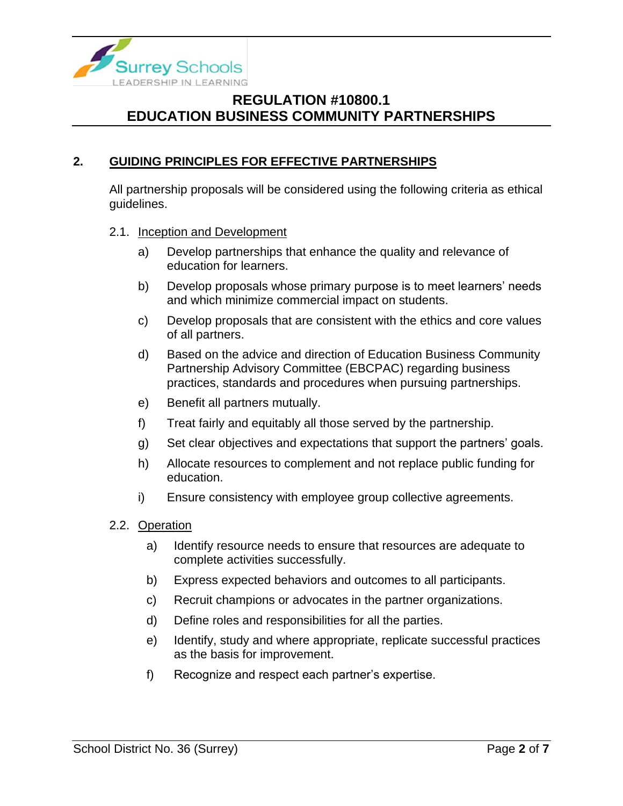

## **2. GUIDING PRINCIPLES FOR EFFECTIVE PARTNERSHIPS**

All partnership proposals will be considered using the following criteria as ethical guidelines.

### 2.1. Inception and Development

- a) Develop partnerships that enhance the quality and relevance of education for learners.
- b) Develop proposals whose primary purpose is to meet learners' needs and which minimize commercial impact on students.
- c) Develop proposals that are consistent with the ethics and core values of all partners.
- d) Based on the advice and direction of Education Business Community Partnership Advisory Committee (EBCPAC) regarding business practices, standards and procedures when pursuing partnerships.
- e) Benefit all partners mutually.
- f) Treat fairly and equitably all those served by the partnership.
- g) Set clear objectives and expectations that support the partners' goals.
- h) Allocate resources to complement and not replace public funding for education.
- i) Ensure consistency with employee group collective agreements.
- 2.2. Operation
	- a) Identify resource needs to ensure that resources are adequate to complete activities successfully.
	- b) Express expected behaviors and outcomes to all participants.
	- c) Recruit champions or advocates in the partner organizations.
	- d) Define roles and responsibilities for all the parties.
	- e) Identify, study and where appropriate, replicate successful practices as the basis for improvement.
	- f) Recognize and respect each partner's expertise.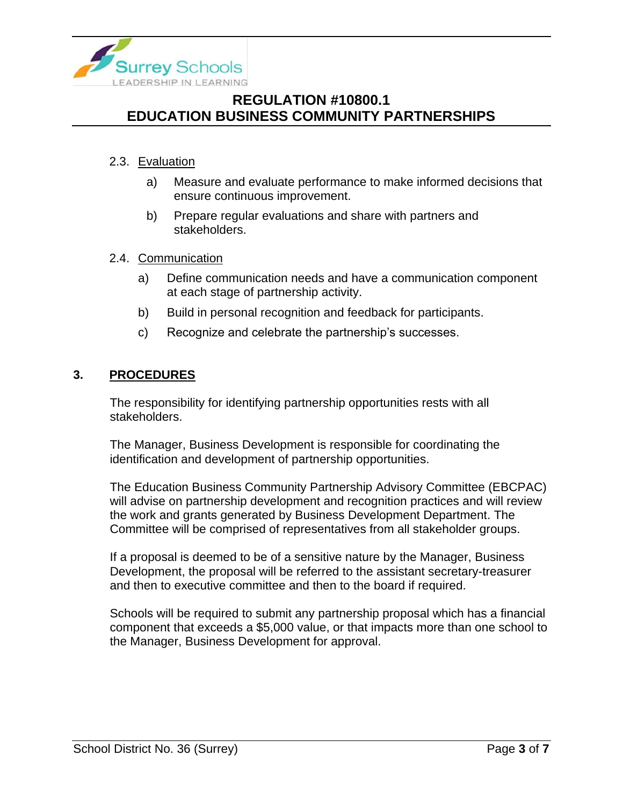

### 2.3. Evaluation

- a) Measure and evaluate performance to make informed decisions that ensure continuous improvement.
- b) Prepare regular evaluations and share with partners and stakeholders.

#### 2.4. Communication

- a) Define communication needs and have a communication component at each stage of partnership activity.
- b) Build in personal recognition and feedback for participants.
- c) Recognize and celebrate the partnership's successes.

### **3. PROCEDURES**

The responsibility for identifying partnership opportunities rests with all stakeholders.

The Manager, Business Development is responsible for coordinating the identification and development of partnership opportunities.

The Education Business Community Partnership Advisory Committee (EBCPAC) will advise on partnership development and recognition practices and will review the work and grants generated by Business Development Department. The Committee will be comprised of representatives from all stakeholder groups.

If a proposal is deemed to be of a sensitive nature by the Manager, Business Development, the proposal will be referred to the assistant secretary-treasurer and then to executive committee and then to the board if required.

Schools will be required to submit any partnership proposal which has a financial component that exceeds a \$5,000 value, or that impacts more than one school to the Manager, Business Development for approval.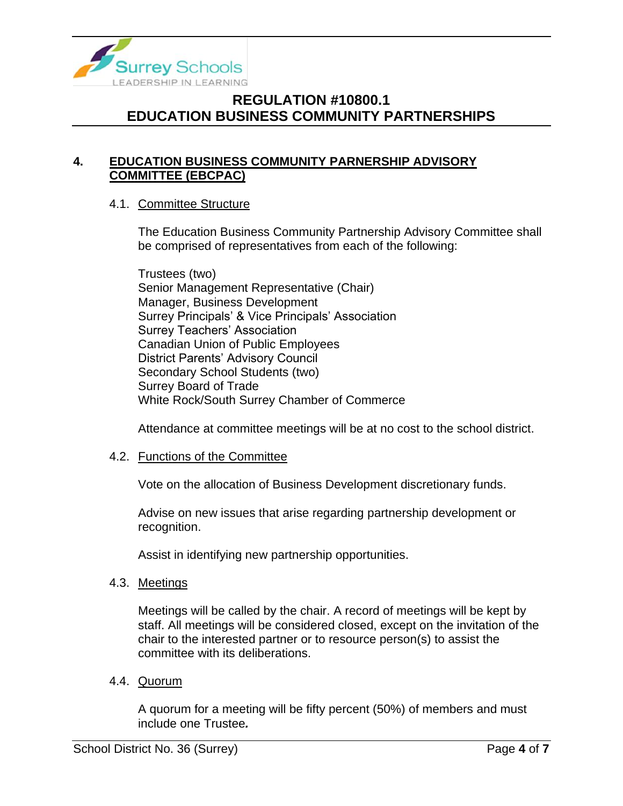

### **4. EDUCATION BUSINESS COMMUNITY PARNERSHIP ADVISORY COMMITTEE (EBCPAC)**

### 4.1. Committee Structure

The Education Business Community Partnership Advisory Committee shall be comprised of representatives from each of the following:

Trustees (two) Senior Management Representative (Chair) Manager, Business Development Surrey Principals' & Vice Principals' Association Surrey Teachers' Association Canadian Union of Public Employees District Parents' Advisory Council Secondary School Students (two) Surrey Board of Trade White Rock/South Surrey Chamber of Commerce

Attendance at committee meetings will be at no cost to the school district.

### 4.2. Functions of the Committee

Vote on the allocation of Business Development discretionary funds.

Advise on new issues that arise regarding partnership development or recognition.

Assist in identifying new partnership opportunities.

4.3. Meetings

Meetings will be called by the chair. A record of meetings will be kept by staff. All meetings will be considered closed, except on the invitation of the chair to the interested partner or to resource person(s) to assist the committee with its deliberations.

### 4.4. Quorum

A quorum for a meeting will be fifty percent (50%) of members and must include one Trustee*.*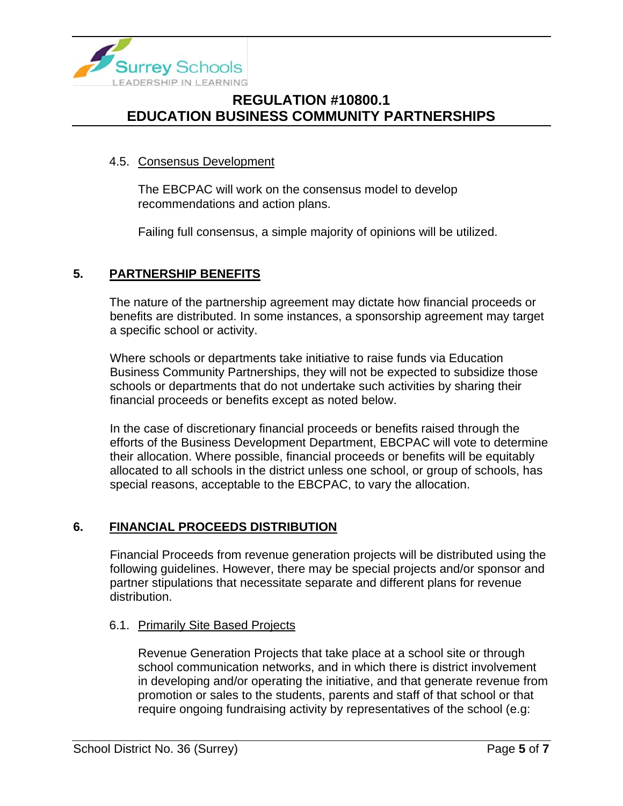

### 4.5. Consensus Development

The EBCPAC will work on the consensus model to develop recommendations and action plans.

Failing full consensus, a simple majority of opinions will be utilized.

### **5. PARTNERSHIP BENEFITS**

The nature of the partnership agreement may dictate how financial proceeds or benefits are distributed. In some instances, a sponsorship agreement may target a specific school or activity.

Where schools or departments take initiative to raise funds via Education Business Community Partnerships, they will not be expected to subsidize those schools or departments that do not undertake such activities by sharing their financial proceeds or benefits except as noted below.

In the case of discretionary financial proceeds or benefits raised through the efforts of the Business Development Department, EBCPAC will vote to determine their allocation. Where possible, financial proceeds or benefits will be equitably allocated to all schools in the district unless one school, or group of schools, has special reasons, acceptable to the EBCPAC, to vary the allocation.

### **6. FINANCIAL PROCEEDS DISTRIBUTION**

Financial Proceeds from revenue generation projects will be distributed using the following guidelines. However, there may be special projects and/or sponsor and partner stipulations that necessitate separate and different plans for revenue distribution.

### 6.1. Primarily Site Based Projects

Revenue Generation Projects that take place at a school site or through school communication networks, and in which there is district involvement in developing and/or operating the initiative, and that generate revenue from promotion or sales to the students, parents and staff of that school or that require ongoing fundraising activity by representatives of the school (e.g: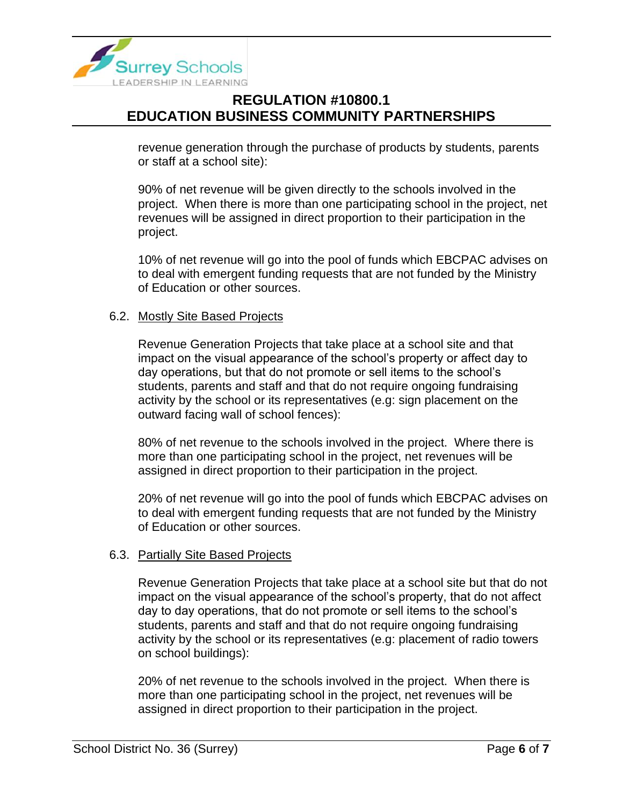

revenue generation through the purchase of products by students, parents or staff at a school site):

90% of net revenue will be given directly to the schools involved in the project. When there is more than one participating school in the project, net revenues will be assigned in direct proportion to their participation in the project.

10% of net revenue will go into the pool of funds which EBCPAC advises on to deal with emergent funding requests that are not funded by the Ministry of Education or other sources.

### 6.2. Mostly Site Based Projects

Revenue Generation Projects that take place at a school site and that impact on the visual appearance of the school's property or affect day to day operations, but that do not promote or sell items to the school's students, parents and staff and that do not require ongoing fundraising activity by the school or its representatives (e.g: sign placement on the outward facing wall of school fences):

80% of net revenue to the schools involved in the project. Where there is more than one participating school in the project, net revenues will be assigned in direct proportion to their participation in the project.

20% of net revenue will go into the pool of funds which EBCPAC advises on to deal with emergent funding requests that are not funded by the Ministry of Education or other sources.

### 6.3. Partially Site Based Projects

Revenue Generation Projects that take place at a school site but that do not impact on the visual appearance of the school's property, that do not affect day to day operations, that do not promote or sell items to the school's students, parents and staff and that do not require ongoing fundraising activity by the school or its representatives (e.g: placement of radio towers on school buildings):

20% of net revenue to the schools involved in the project. When there is more than one participating school in the project, net revenues will be assigned in direct proportion to their participation in the project.